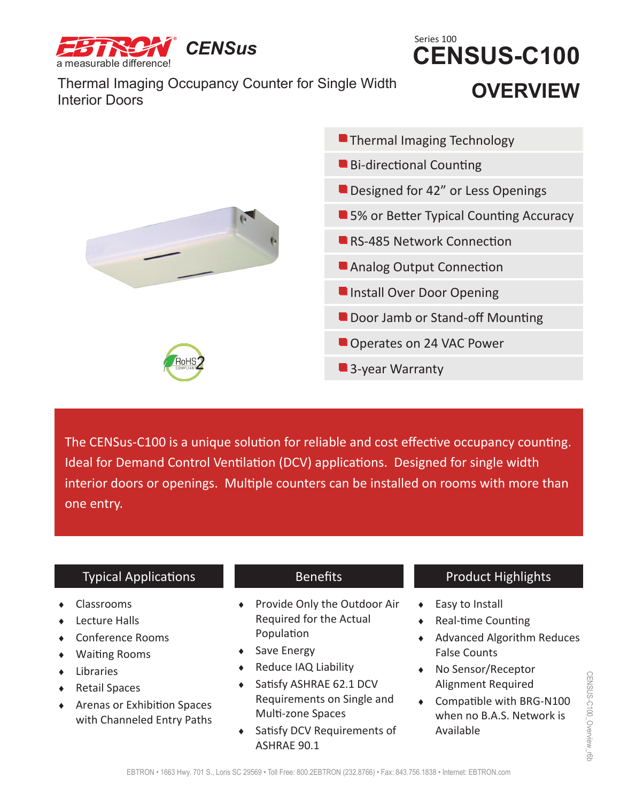

Thermal Imaging Occupancy Counter for Single Width **Interior Doors** 

## **OVERVIEW CENSUS-C100** Series 100



The CENSus-C100 is a unique solution for reliable and cost effective occupancy counting. Ideal for Demand Control Ventilation (DCV) applications. Designed for single width interior doors or openings. Multiple counters can be installed on rooms with more than one entry.

### Typical Applications

- Classrooms
- **+** Lecture Halls
- Conference Rooms
- Waiting Rooms
- Libraries
- ◆ Retail Spaces
- Arenas or Exhibition Spaces with Channeled Entry Paths

## Benefits

- ◆ Provide Only the Outdoor Air Required for the Actual Population
- ◆ Save Energy
- ◆ Reduce IAQ Liability
- ◆ Satisfy ASHRAE 62.1 DCV Requirements on Single and Multi-zone Spaces
- ◆ Satisfy DCV Requirements of ASHRAE 90.1

## Product Highlights

- Easy to Install
- ◆ Real-time Counting
- Advanced Algorithm Reduces False Counts
- ◆ No Sensor/Receptor Alignment Required
- Compatible with BRG-N100 when no B.A.S. Network is Available